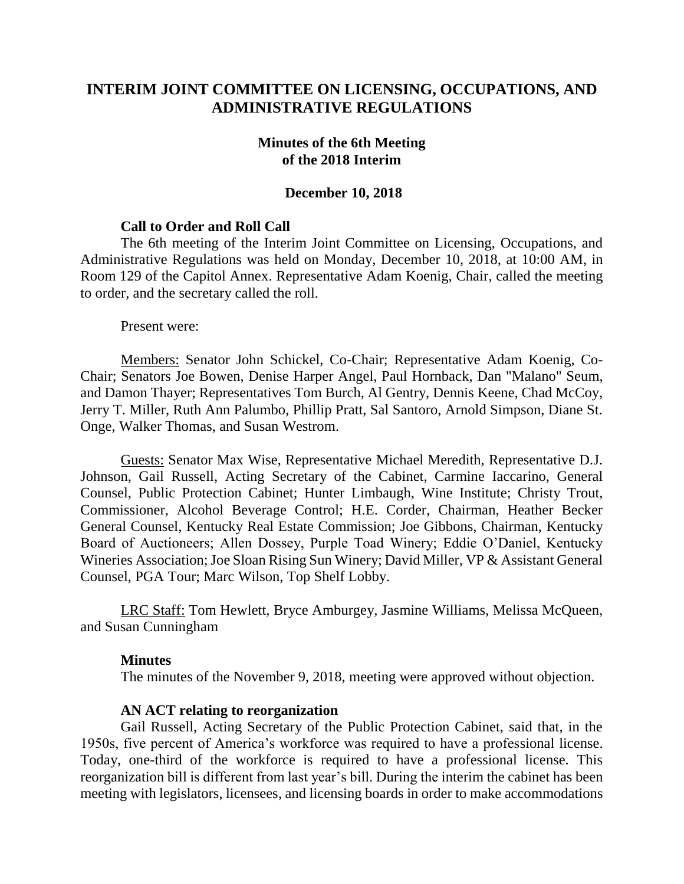# **INTERIM JOINT COMMITTEE ON LICENSING, OCCUPATIONS, AND ADMINISTRATIVE REGULATIONS**

## **Minutes of the 6th Meeting of the 2018 Interim**

## **December 10, 2018**

## **Call to Order and Roll Call**

The 6th meeting of the Interim Joint Committee on Licensing, Occupations, and Administrative Regulations was held on Monday, December 10, 2018, at 10:00 AM, in Room 129 of the Capitol Annex. Representative Adam Koenig, Chair, called the meeting to order, and the secretary called the roll.

Present were:

Members: Senator John Schickel, Co-Chair; Representative Adam Koenig, Co-Chair; Senators Joe Bowen, Denise Harper Angel, Paul Hornback, Dan "Malano" Seum, and Damon Thayer; Representatives Tom Burch, Al Gentry, Dennis Keene, Chad McCoy, Jerry T. Miller, Ruth Ann Palumbo, Phillip Pratt, Sal Santoro, Arnold Simpson, Diane St. Onge, Walker Thomas, and Susan Westrom.

Guests: Senator Max Wise, Representative Michael Meredith, Representative D.J. Johnson, Gail Russell, Acting Secretary of the Cabinet, Carmine Iaccarino, General Counsel, Public Protection Cabinet; Hunter Limbaugh, Wine Institute; Christy Trout, Commissioner, Alcohol Beverage Control; H.E. Corder, Chairman, Heather Becker General Counsel, Kentucky Real Estate Commission; Joe Gibbons, Chairman, Kentucky Board of Auctioneers; Allen Dossey, Purple Toad Winery; Eddie O'Daniel, Kentucky Wineries Association; Joe Sloan Rising Sun Winery; David Miller, VP & Assistant General Counsel, PGA Tour; Marc Wilson, Top Shelf Lobby.

LRC Staff: Tom Hewlett, Bryce Amburgey, Jasmine Williams, Melissa McQueen, and Susan Cunningham

#### **Minutes**

The minutes of the November 9, 2018, meeting were approved without objection.

#### **AN ACT relating to reorganization**

Gail Russell, Acting Secretary of the Public Protection Cabinet, said that, in the 1950s, five percent of America's workforce was required to have a professional license. Today, one-third of the workforce is required to have a professional license. This reorganization bill is different from last year's bill. During the interim the cabinet has been meeting with legislators, licensees, and licensing boards in order to make accommodations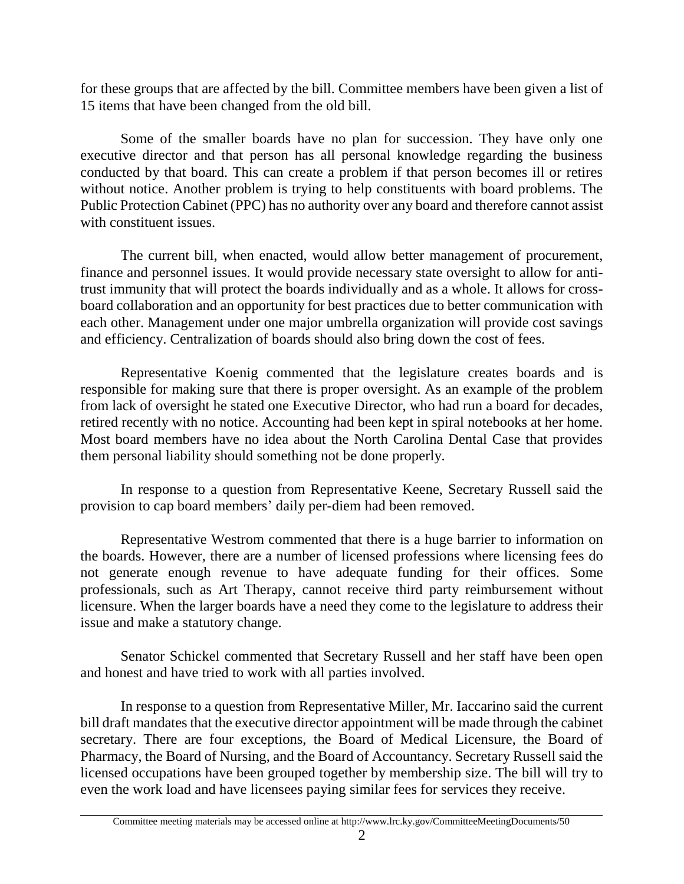for these groups that are affected by the bill. Committee members have been given a list of 15 items that have been changed from the old bill.

Some of the smaller boards have no plan for succession. They have only one executive director and that person has all personal knowledge regarding the business conducted by that board. This can create a problem if that person becomes ill or retires without notice. Another problem is trying to help constituents with board problems. The Public Protection Cabinet (PPC) has no authority over any board and therefore cannot assist with constituent issues.

The current bill, when enacted, would allow better management of procurement, finance and personnel issues. It would provide necessary state oversight to allow for antitrust immunity that will protect the boards individually and as a whole. It allows for crossboard collaboration and an opportunity for best practices due to better communication with each other. Management under one major umbrella organization will provide cost savings and efficiency. Centralization of boards should also bring down the cost of fees.

Representative Koenig commented that the legislature creates boards and is responsible for making sure that there is proper oversight. As an example of the problem from lack of oversight he stated one Executive Director, who had run a board for decades, retired recently with no notice. Accounting had been kept in spiral notebooks at her home. Most board members have no idea about the North Carolina Dental Case that provides them personal liability should something not be done properly.

In response to a question from Representative Keene, Secretary Russell said the provision to cap board members' daily per-diem had been removed.

Representative Westrom commented that there is a huge barrier to information on the boards. However, there are a number of licensed professions where licensing fees do not generate enough revenue to have adequate funding for their offices. Some professionals, such as Art Therapy, cannot receive third party reimbursement without licensure. When the larger boards have a need they come to the legislature to address their issue and make a statutory change.

Senator Schickel commented that Secretary Russell and her staff have been open and honest and have tried to work with all parties involved.

In response to a question from Representative Miller, Mr. Iaccarino said the current bill draft mandates that the executive director appointment will be made through the cabinet secretary. There are four exceptions, the Board of Medical Licensure, the Board of Pharmacy, the Board of Nursing, and the Board of Accountancy. Secretary Russell said the licensed occupations have been grouped together by membership size. The bill will try to even the work load and have licensees paying similar fees for services they receive.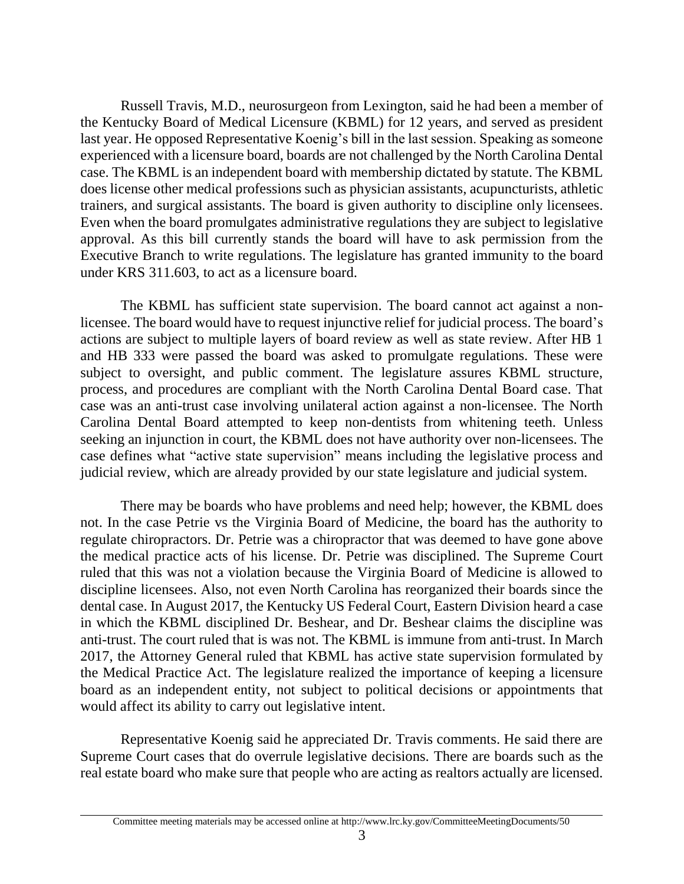Russell Travis, M.D., neurosurgeon from Lexington, said he had been a member of the Kentucky Board of Medical Licensure (KBML) for 12 years, and served as president last year. He opposed Representative Koenig's bill in the last session. Speaking as someone experienced with a licensure board, boards are not challenged by the North Carolina Dental case. The KBML is an independent board with membership dictated by statute. The KBML does license other medical professions such as physician assistants, acupuncturists, athletic trainers, and surgical assistants. The board is given authority to discipline only licensees. Even when the board promulgates administrative regulations they are subject to legislative approval. As this bill currently stands the board will have to ask permission from the Executive Branch to write regulations. The legislature has granted immunity to the board under KRS 311.603, to act as a licensure board.

The KBML has sufficient state supervision. The board cannot act against a nonlicensee. The board would have to request injunctive relief for judicial process. The board's actions are subject to multiple layers of board review as well as state review. After HB 1 and HB 333 were passed the board was asked to promulgate regulations. These were subject to oversight, and public comment. The legislature assures KBML structure, process, and procedures are compliant with the North Carolina Dental Board case. That case was an anti-trust case involving unilateral action against a non-licensee. The North Carolina Dental Board attempted to keep non-dentists from whitening teeth. Unless seeking an injunction in court, the KBML does not have authority over non-licensees. The case defines what "active state supervision" means including the legislative process and judicial review, which are already provided by our state legislature and judicial system.

There may be boards who have problems and need help; however, the KBML does not. In the case Petrie vs the Virginia Board of Medicine, the board has the authority to regulate chiropractors. Dr. Petrie was a chiropractor that was deemed to have gone above the medical practice acts of his license. Dr. Petrie was disciplined. The Supreme Court ruled that this was not a violation because the Virginia Board of Medicine is allowed to discipline licensees. Also, not even North Carolina has reorganized their boards since the dental case. In August 2017, the Kentucky US Federal Court, Eastern Division heard a case in which the KBML disciplined Dr. Beshear, and Dr. Beshear claims the discipline was anti-trust. The court ruled that is was not. The KBML is immune from anti-trust. In March 2017, the Attorney General ruled that KBML has active state supervision formulated by the Medical Practice Act. The legislature realized the importance of keeping a licensure board as an independent entity, not subject to political decisions or appointments that would affect its ability to carry out legislative intent.

Representative Koenig said he appreciated Dr. Travis comments. He said there are Supreme Court cases that do overrule legislative decisions. There are boards such as the real estate board who make sure that people who are acting as realtors actually are licensed.

Committee meeting materials may be accessed online at http://www.lrc.ky.gov/CommitteeMeetingDocuments/50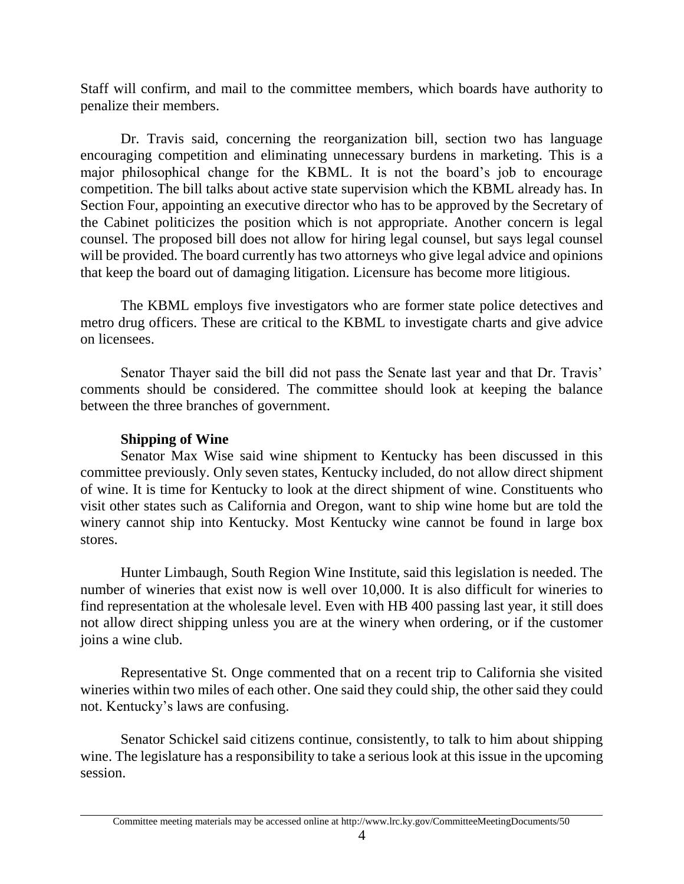Staff will confirm, and mail to the committee members, which boards have authority to penalize their members.

Dr. Travis said, concerning the reorganization bill, section two has language encouraging competition and eliminating unnecessary burdens in marketing. This is a major philosophical change for the KBML. It is not the board's job to encourage competition. The bill talks about active state supervision which the KBML already has. In Section Four, appointing an executive director who has to be approved by the Secretary of the Cabinet politicizes the position which is not appropriate. Another concern is legal counsel. The proposed bill does not allow for hiring legal counsel, but says legal counsel will be provided. The board currently has two attorneys who give legal advice and opinions that keep the board out of damaging litigation. Licensure has become more litigious.

The KBML employs five investigators who are former state police detectives and metro drug officers. These are critical to the KBML to investigate charts and give advice on licensees.

Senator Thayer said the bill did not pass the Senate last year and that Dr. Travis' comments should be considered. The committee should look at keeping the balance between the three branches of government.

## **Shipping of Wine**

Senator Max Wise said wine shipment to Kentucky has been discussed in this committee previously. Only seven states, Kentucky included, do not allow direct shipment of wine. It is time for Kentucky to look at the direct shipment of wine. Constituents who visit other states such as California and Oregon, want to ship wine home but are told the winery cannot ship into Kentucky. Most Kentucky wine cannot be found in large box stores.

Hunter Limbaugh, South Region Wine Institute, said this legislation is needed. The number of wineries that exist now is well over 10,000. It is also difficult for wineries to find representation at the wholesale level. Even with HB 400 passing last year, it still does not allow direct shipping unless you are at the winery when ordering, or if the customer joins a wine club.

Representative St. Onge commented that on a recent trip to California she visited wineries within two miles of each other. One said they could ship, the other said they could not. Kentucky's laws are confusing.

Senator Schickel said citizens continue, consistently, to talk to him about shipping wine. The legislature has a responsibility to take a serious look at this issue in the upcoming session.

Committee meeting materials may be accessed online at http://www.lrc.ky.gov/CommitteeMeetingDocuments/50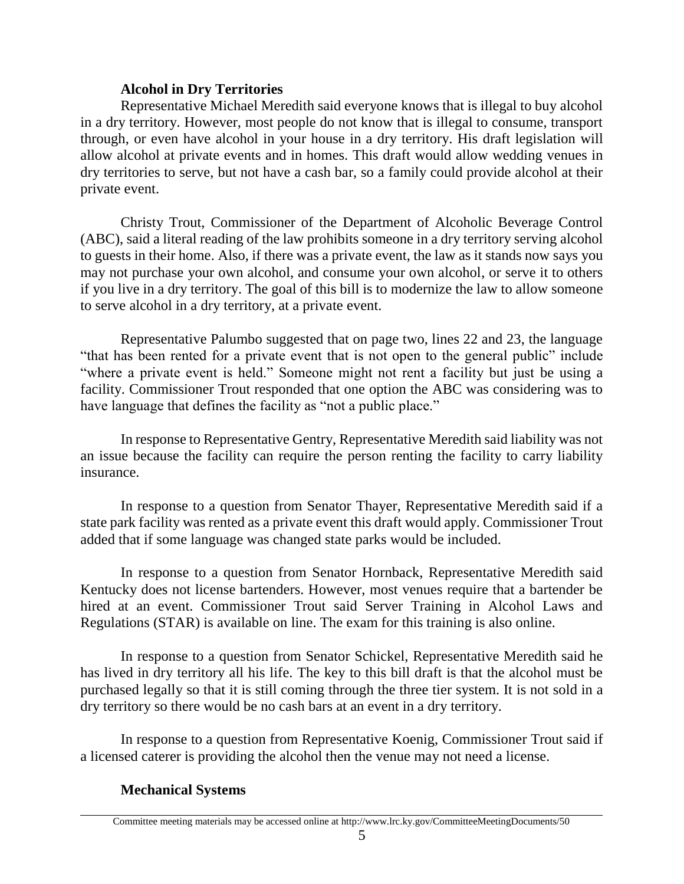## **Alcohol in Dry Territories**

Representative Michael Meredith said everyone knows that is illegal to buy alcohol in a dry territory. However, most people do not know that is illegal to consume, transport through, or even have alcohol in your house in a dry territory. His draft legislation will allow alcohol at private events and in homes. This draft would allow wedding venues in dry territories to serve, but not have a cash bar, so a family could provide alcohol at their private event.

Christy Trout, Commissioner of the Department of Alcoholic Beverage Control (ABC), said a literal reading of the law prohibits someone in a dry territory serving alcohol to guests in their home. Also, if there was a private event, the law as it stands now says you may not purchase your own alcohol, and consume your own alcohol, or serve it to others if you live in a dry territory. The goal of this bill is to modernize the law to allow someone to serve alcohol in a dry territory, at a private event.

Representative Palumbo suggested that on page two, lines 22 and 23, the language "that has been rented for a private event that is not open to the general public" include "where a private event is held." Someone might not rent a facility but just be using a facility. Commissioner Trout responded that one option the ABC was considering was to have language that defines the facility as "not a public place."

In response to Representative Gentry, Representative Meredith said liability was not an issue because the facility can require the person renting the facility to carry liability insurance.

In response to a question from Senator Thayer, Representative Meredith said if a state park facility was rented as a private event this draft would apply. Commissioner Trout added that if some language was changed state parks would be included.

In response to a question from Senator Hornback, Representative Meredith said Kentucky does not license bartenders. However, most venues require that a bartender be hired at an event. Commissioner Trout said Server Training in Alcohol Laws and Regulations (STAR) is available on line. The exam for this training is also online.

In response to a question from Senator Schickel, Representative Meredith said he has lived in dry territory all his life. The key to this bill draft is that the alcohol must be purchased legally so that it is still coming through the three tier system. It is not sold in a dry territory so there would be no cash bars at an event in a dry territory.

In response to a question from Representative Koenig, Commissioner Trout said if a licensed caterer is providing the alcohol then the venue may not need a license.

# **Mechanical Systems**

Committee meeting materials may be accessed online at http://www.lrc.ky.gov/CommitteeMeetingDocuments/50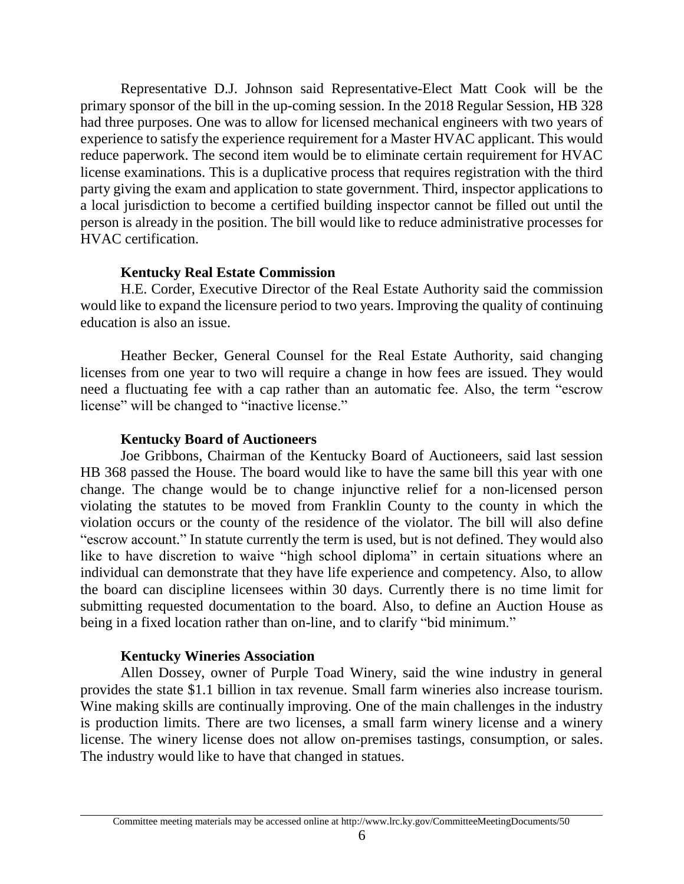Representative D.J. Johnson said Representative-Elect Matt Cook will be the primary sponsor of the bill in the up-coming session. In the 2018 Regular Session, HB 328 had three purposes. One was to allow for licensed mechanical engineers with two years of experience to satisfy the experience requirement for a Master HVAC applicant. This would reduce paperwork. The second item would be to eliminate certain requirement for HVAC license examinations. This is a duplicative process that requires registration with the third party giving the exam and application to state government. Third, inspector applications to a local jurisdiction to become a certified building inspector cannot be filled out until the person is already in the position. The bill would like to reduce administrative processes for HVAC certification.

## **Kentucky Real Estate Commission**

H.E. Corder, Executive Director of the Real Estate Authority said the commission would like to expand the licensure period to two years. Improving the quality of continuing education is also an issue.

Heather Becker, General Counsel for the Real Estate Authority, said changing licenses from one year to two will require a change in how fees are issued. They would need a fluctuating fee with a cap rather than an automatic fee. Also, the term "escrow license" will be changed to "inactive license."

## **Kentucky Board of Auctioneers**

Joe Gribbons, Chairman of the Kentucky Board of Auctioneers, said last session HB 368 passed the House. The board would like to have the same bill this year with one change. The change would be to change injunctive relief for a non-licensed person violating the statutes to be moved from Franklin County to the county in which the violation occurs or the county of the residence of the violator. The bill will also define "escrow account." In statute currently the term is used, but is not defined. They would also like to have discretion to waive "high school diploma" in certain situations where an individual can demonstrate that they have life experience and competency. Also, to allow the board can discipline licensees within 30 days. Currently there is no time limit for submitting requested documentation to the board. Also, to define an Auction House as being in a fixed location rather than on-line, and to clarify "bid minimum."

## **Kentucky Wineries Association**

Allen Dossey, owner of Purple Toad Winery, said the wine industry in general provides the state \$1.1 billion in tax revenue. Small farm wineries also increase tourism. Wine making skills are continually improving. One of the main challenges in the industry is production limits. There are two licenses, a small farm winery license and a winery license. The winery license does not allow on-premises tastings, consumption, or sales. The industry would like to have that changed in statues.

Committee meeting materials may be accessed online at http://www.lrc.ky.gov/CommitteeMeetingDocuments/50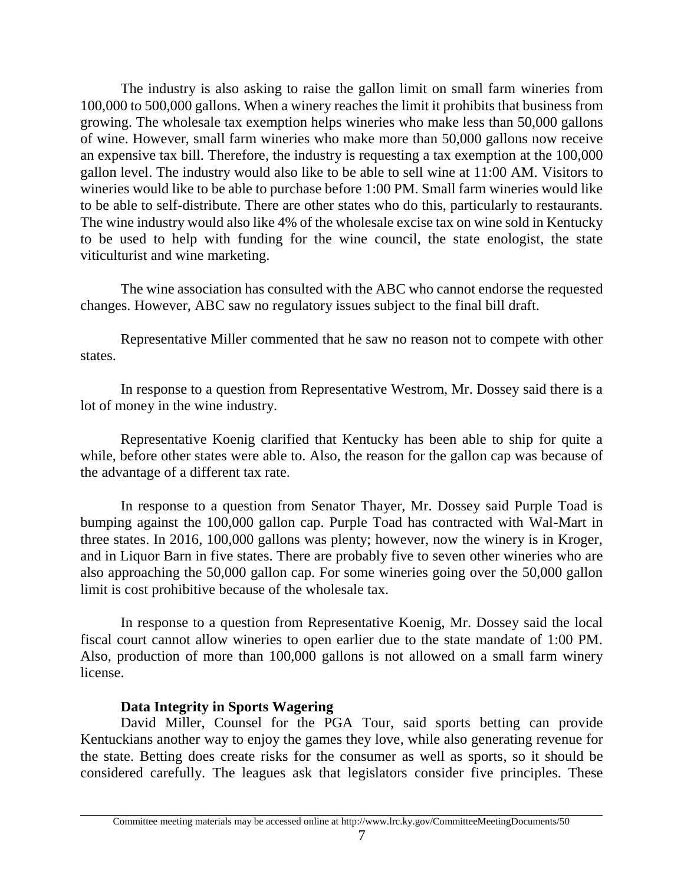The industry is also asking to raise the gallon limit on small farm wineries from 100,000 to 500,000 gallons. When a winery reaches the limit it prohibits that business from growing. The wholesale tax exemption helps wineries who make less than 50,000 gallons of wine. However, small farm wineries who make more than 50,000 gallons now receive an expensive tax bill. Therefore, the industry is requesting a tax exemption at the 100,000 gallon level. The industry would also like to be able to sell wine at 11:00 AM. Visitors to wineries would like to be able to purchase before 1:00 PM. Small farm wineries would like to be able to self-distribute. There are other states who do this, particularly to restaurants. The wine industry would also like 4% of the wholesale excise tax on wine sold in Kentucky to be used to help with funding for the wine council, the state enologist, the state viticulturist and wine marketing.

The wine association has consulted with the ABC who cannot endorse the requested changes. However, ABC saw no regulatory issues subject to the final bill draft.

Representative Miller commented that he saw no reason not to compete with other states.

In response to a question from Representative Westrom, Mr. Dossey said there is a lot of money in the wine industry.

Representative Koenig clarified that Kentucky has been able to ship for quite a while, before other states were able to. Also, the reason for the gallon cap was because of the advantage of a different tax rate.

In response to a question from Senator Thayer, Mr. Dossey said Purple Toad is bumping against the 100,000 gallon cap. Purple Toad has contracted with Wal-Mart in three states. In 2016, 100,000 gallons was plenty; however, now the winery is in Kroger, and in Liquor Barn in five states. There are probably five to seven other wineries who are also approaching the 50,000 gallon cap. For some wineries going over the 50,000 gallon limit is cost prohibitive because of the wholesale tax.

In response to a question from Representative Koenig, Mr. Dossey said the local fiscal court cannot allow wineries to open earlier due to the state mandate of 1:00 PM. Also, production of more than 100,000 gallons is not allowed on a small farm winery license.

## **Data Integrity in Sports Wagering**

David Miller, Counsel for the PGA Tour, said sports betting can provide Kentuckians another way to enjoy the games they love, while also generating revenue for the state. Betting does create risks for the consumer as well as sports, so it should be considered carefully. The leagues ask that legislators consider five principles. These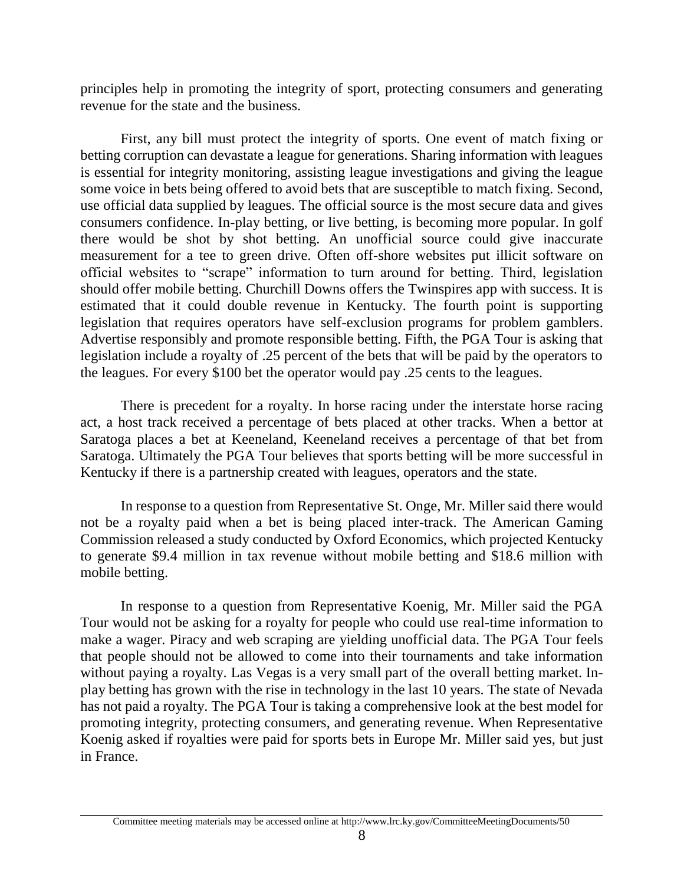principles help in promoting the integrity of sport, protecting consumers and generating revenue for the state and the business.

First, any bill must protect the integrity of sports. One event of match fixing or betting corruption can devastate a league for generations. Sharing information with leagues is essential for integrity monitoring, assisting league investigations and giving the league some voice in bets being offered to avoid bets that are susceptible to match fixing. Second, use official data supplied by leagues. The official source is the most secure data and gives consumers confidence. In-play betting, or live betting, is becoming more popular. In golf there would be shot by shot betting. An unofficial source could give inaccurate measurement for a tee to green drive. Often off-shore websites put illicit software on official websites to "scrape" information to turn around for betting. Third, legislation should offer mobile betting. Churchill Downs offers the Twinspires app with success. It is estimated that it could double revenue in Kentucky. The fourth point is supporting legislation that requires operators have self-exclusion programs for problem gamblers. Advertise responsibly and promote responsible betting. Fifth, the PGA Tour is asking that legislation include a royalty of .25 percent of the bets that will be paid by the operators to the leagues. For every \$100 bet the operator would pay .25 cents to the leagues.

There is precedent for a royalty. In horse racing under the interstate horse racing act, a host track received a percentage of bets placed at other tracks. When a bettor at Saratoga places a bet at Keeneland, Keeneland receives a percentage of that bet from Saratoga. Ultimately the PGA Tour believes that sports betting will be more successful in Kentucky if there is a partnership created with leagues, operators and the state.

In response to a question from Representative St. Onge, Mr. Miller said there would not be a royalty paid when a bet is being placed inter-track. The American Gaming Commission released a study conducted by Oxford Economics, which projected Kentucky to generate \$9.4 million in tax revenue without mobile betting and \$18.6 million with mobile betting.

In response to a question from Representative Koenig, Mr. Miller said the PGA Tour would not be asking for a royalty for people who could use real-time information to make a wager. Piracy and web scraping are yielding unofficial data. The PGA Tour feels that people should not be allowed to come into their tournaments and take information without paying a royalty. Las Vegas is a very small part of the overall betting market. Inplay betting has grown with the rise in technology in the last 10 years. The state of Nevada has not paid a royalty. The PGA Tour is taking a comprehensive look at the best model for promoting integrity, protecting consumers, and generating revenue. When Representative Koenig asked if royalties were paid for sports bets in Europe Mr. Miller said yes, but just in France.

Committee meeting materials may be accessed online at http://www.lrc.ky.gov/CommitteeMeetingDocuments/50